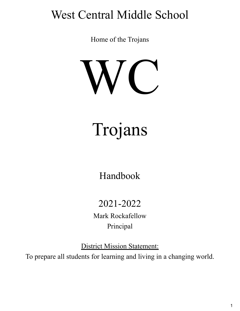# West Central Middle School

Home of the Trojans



Trojans

Handbook

2021-2022

Mark Rockafellow Principal

District Mission Statement: To prepare all students for learning and living in a changing world.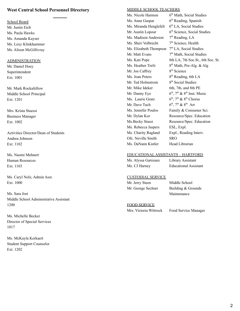## **West Central School Personnel Directory**

School Board Mr. Justin Eich Ms. Paula Hawks Ms. Amanda Kayser Ms. Lexy Klinkhammer Ms. Alison McGillivray

#### ADMINISTRATION

Mr. Daniel Hoey Superintendent Ext. 1001

Mr. Mark Rockafellow Middle School Principal Ext. 1201

Mrs. Krista Stuessi Business Manager Ext. 1002

Activities Director/Dean of Students Andrea Johnson Ext. 1102

Ms. Naomi Mehnert Human Resources Ext. 1103

Ms. Caryl Nolz, Admin Asst. Ext. 1000

Ms. Sara Jost Middle School Administrative Assistant 1200

Ms. Michelle Becker Director of Special Services 1017

Ms. McKayla Kerkaert Student Support Counselor Ext. 1202

#### MIDDLE SCHOOL TEACHERS

Ms. Nicole Harmon 6<sup>th</sup> Math, Social Studies Ms. Anne Gaspar  $6<sup>th</sup>$  Reading, Spanish Ms. Miranda Henglefelt  $6<sup>th</sup>$  LA, Social Studies Mr. Austin Lopour 6<sup>th</sup> Science, Social Studies Ms. Madison Anderson 7  $7<sup>th</sup>$  Reading, LA Ms. Sheri Volbrecht 7<sup>th</sup> Science, Health Ms. Elizabeth Thompson 7<sup>th</sup> LA, Social Studies Mr. Matt Evans 7<sup>th</sup> Math, Social Studies Ms. Kati Pope 8th LA, 7th Soc. St., 6th Soc. St. Ms. Heather Trefz  $8<sup>th</sup>$  Math, Pre-Alg. & Alg Mr. Joe Caffrey 8<sup>th</sup> Science Ms. Joan Peters 8<sup>th</sup> Reading, 6th LA Mr. Ted Holmstrom 8<sup>th</sup> Social Studies Mr. Mike Ideker 6th, 7th, and 8th PE Mr. Danny Eye  $\mathfrak{t}^{\text{th}}$ ,  $7^{\text{th}}$  &  $8^{\text{th}}$  Inst. Music Ms. Laurie Gratz <sup>th</sup>,  $7<sup>th</sup>$  &  $8<sup>th</sup>$  Chorus Mr. Dave Tuch 6 <sup>th</sup>, 7<sup>th</sup> & 8<sup>th</sup> Art Ms. Jennifer Poulos Family & Consumer Sci. Mr. Dylan Kor Resource/Spec. Education Ms.Becky Stassi Resource/Spec. Education Ms. Rebecca Jaspers ESL, Expl. Ms. Charity Ragland Expl., Reading Interv. Ofc. Neville Smith SRO Ms. DaNann Kistler Head Librarian

#### EDUCATIONAL ASSISTANTS – HARTFORD

| Ms. Alyssa Garreaux | Library Assistant            |
|---------------------|------------------------------|
| Ms. CJ Harney       | <b>Educational Assistant</b> |

#### CUSTODIAL SERVICE

Mr. Jerry Steen Middle School

Mr. George Sechser Building & Grounds Maintenance

#### FOOD SERVICE

Mrs. Victoria Wittrock Food Service Manager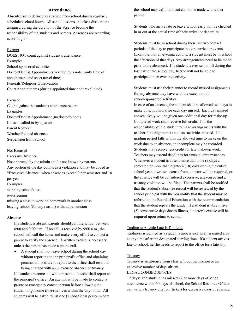#### **Attendance**

Absenteeism is defined as absence from school during regularly scheduled school hours. All school lessons and class discussions assigned during the duration of the absence become the responsibility of the students and parents. Absences are recording according to:

#### Exempt

DOES NOT count against student's attendance. Examples: School-sponsored activities Doctor/Dentist Appointments verified by a note (only time of appointment and short travel time). Funerals/Religious Observations Court Appointments (during appointed time and travel time)

#### Excused

Count against the student's attendance record. Examples: Doctor/Dentist Appointment (no doctor's note) Illness - called in by a parent Parent Request Weather-Related absences Suspension from School

#### Not Excused

Excessive Absence Not approved by the admin and/or not known by parents. Any portion of the day counts as a violation and may be coded as "Excessive Absence" when absences exceed 9 per semester and 18 per year Examples:

skipping school/class

oversleeping

missing a class to work on homework in another class leaving school (for any reason) without permission

#### **Absence**

If a student is absent, parents should call the school between 8:00 and 9:00 a.m. If no call is received by 9:00 a.m., the school will call the home and make every effort to contact a parent to verify the absence. A written excuse is necessary unless the parent has made a phone call.

● A student shall not leave school during the school day without reporting to the principal's office and obtaining permission. Failure to report to the office shall result in being charged with an unexcused absence or truancy.

If a student becomes ill while in school, he/she shall report to the principal's office. An attempt will be made to contact a parent or emergency contact person before allowing the student to go home if he/she lives within the city limits. All students will be asked to list one (1) additional person whom

the school may call if contact cannot be made with either parent.

Students who arrive late or leave school early will be checked in or out at the actual time of their arrival or departure.

Students must be in school during their last two contact periods of the day to participate in extracurricular events. (Example: For an evening activity, a student must be in school the afternoon of that day) Any arrangements need to be made prior to the absence.). If a student leaves school ill during the last half of the school day, he/she will not be able to participate in an evening activity.

Students must use their planner to record missed assignments for any absence they have with the exception of school-sponsored activities.

In case of an absence, the student shall be allowed two days to make up schoolwork for each day missed. Each day missed consecutively will be given one additional day for make-up. Completed work shall receive full credit. It is the responsibility of the student to make arrangements with the teacher for assignments and class activities missed. If a grading period falls within the allowed time to make up the work due to an absence, an incomplete may be recorded. Students may receive less credit for late make-up work. Teachers may extend deadlines for unusual circumstances. Whenever a student is absent more than nine (9)days a semester, or more than eighteen (18) days during the entire school year, a written excuse from a doctor will be required, or the absence will be considered excessive, unexcused and a truancy violation will be filed. The parents shall be notified that the student's absentee record will be reviewed by the school principal with the possibility that the student may be referred to the Board of Education with the recommendation that the student repeats the grade. If a student is absent five (5) consecutive days due to illness, a doctor's excuse will be required upon return to school.

#### Tardiness: A Little Late Is Too Late

Tardiness is defined as a student's appearance in an assigned area at any time after the designated starting time. If a student arrives late to school, he/she needs to report to the office for a late slip.

#### **Truancy**

Truancy is an absence from class without permission or an excessive number of days absent.

LEGAL CONSEQUENCES:

12 days: If a student has missed 12 or more days of school attendance within 60 days of school, the School Resource Officer can write a truancy citation (ticket) for excessive days of absence.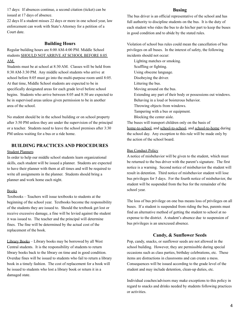17 days: If absences continue, a second citation (ticket) can be issued at 17 days of absence.

22 days If a student misses 22 days or more in one school year, law enforcement can work with State's Attorney for a petition of a Court date.

## **Building Hours**

Regular building hours are 8:00 AM-4:00 PM. Middle School students SHOULD NOT ARRIVE AT SCHOOL BEFORE 8:05 AM.

Students must be at school at 8:30 AM. Classes will be held from 8:30 AM-3:30 PM. Any middle school students who arrive at school before 8:05 must go into the multi-purpose room until 8:05. At that time, Middle School students are expected to be in specifically designated areas for each grade level before school begins. Students who arrive between 8:05 and 8:30 are expected to be in supervised areas unless given permission to be in another area of the school.

No student should be in the school building or on school property after 3:50 PM unless they are under the supervision of the principal or a teacher. Students need to leave the school premises after 3:30 PM unless waiting for a bus or a ride home.

## **BUILDING PRACTICES AND PROCEDURES**

#### Student Planners

In order to help our middle school students learn organizational skills, each student will be issued a planner. Students are expected to have their planner with them at all times and will be required to write all assignments in the planner. Students should bring a planner and work home each night.

#### Books

Textbooks – Teachers will issue textbooks to students at the beginning of the school year. Textbooks become the responsibility of the students they are issued to. Should the textbook get lost or receive excessive damage, a fine will be levied against the student it was issued to. The teacher and the principal will determine fines. The fine will be determined by the actual cost of the replacement of the book.

Library Books – Library books may be borrowed by all West Central students. It is the responsibility of students to return library books back to the library on time and in good condition. Overdue fines will be issued to students who fail to return a library book in a timely fashion. The cost of replacement for a book will be issued to students who lost a library book or return it in a damaged state.

#### **Busing**

The bus driver is an official representative of the school and has full authority to discipline students on the bus. It is the duty of each student who rides the bus to do his/her part to keep the buses in good condition and to abide by the stated rules.

Violation of school bus rules could mean the cancellation of bus privileges on all buses. In the interest of safety, the following incidents should not occur:

Lighting matches or smoking. Scuffling or fighting. Using obscene language. Disobeying the driver. Littering the bus. Moving around on the bus. Extending any part of their body or possessions out windows. Behaving in a loud or boisterous behavior. Throwing objects from windows. Tampering with a bus or equipment. Blocking the center aisle. The buses will transport children only on the basis of

home-to-school, and school-to-school, and school-to-home during the school day. Any exception to this rule will be made only by the action of the school board.

#### Bus Conduct Policy

A notice of misbehavior will be given to the student, which must be returned to the bus driver with the parent's signature. The first notice is a warning. Second notice of misbehavior the student will result in detention. Third notice of misbehavior student will lose bus privileges for 5 days. For the fourth notice of misbehavior, the student will be suspended from the bus for the remainder of the school year.

The loss of bus privilege on one bus means loss of privileges on all buses. If a student is suspended from riding the bus, parents must find an alternative method of getting the student to school at no expense to the district. A student's absence due to suspension of bus privileges is an unexcused absence.

#### **Candy, & Sunflower Seeds**

Pop, candy, snacks, or sunflower seeds are not allowed in the school building. However, they are permissible during special occasions such as class parties, birthday celebrations, etc. These items are distractions in classrooms and can create a mess. Consequences will be issued according to the grade level of the student and may include detention, clean-up duties, etc.

Individual coaches/advisors may make exceptions to this policy in regard to snacks and drinks needed by students following practices or activities.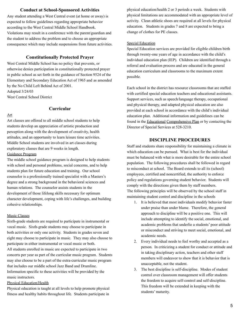## **Conduct at School-Sponsored Activities**

Any student attending a West Central event (at home or away) is expected to follow guidelines regarding appropriate behavior according to the West Central Middle School Handbook. Violations may result in a conference with the parent/guardian and the student to address the problem and to choose an appropriate consequence which may include suspensions from future activities.

## **Constitutionally Protected Prayer**

West Central Middle School has no policy that prevents, or otherwise denies participation in constitutionally protected prayer in public school as set forth in the guidance of Section 9524 of the Elementary and Secondary Education Act of 1965 and as amended by the No Child Left Behind Act of 2001. Adopted 3/24/03

West Central School District

## **Curricular**

#### Art

Art classes are offered to all middle school students to help students develop an appreciation of artistic production and perception along with the development of creativity, health attitudes, and an opportunity to learn leisure time activities. Middle School students are involved in art classes during exploratory classes that are 9 weeks in length. Guidance Program

The middle school guidance program is designed to help students with school and personal problems, social concerns, and to help students plan for future education and training. Our school counselor is a professionally trained specialist with a Masters's degree and a strong background in the behavioral sciences and human relations. The counselor assists students in the development of those lifelong skills necessary for optimum character development, coping with life's challenges, and building cohesive relationships.

#### Music Classes

Sixth-grade students are required to participate in instrumental or vocal music. Sixth-grade students may choose to participate in both activities or only one activity. Students in grades seven and eight may choose to participate in music. They may also choose to participate in either instrumental or vocal music or both. All students enrolled in music are expected to participate in two concerts per year as part of the curricular music program. Students may also choose to be a part of the extra-curricular music program that includes our middle school Jazz Band and Drumline. Information specific to these activities will be provided by the music instructors.

## Physical Education/Health

Physical education is taught at all levels to help promote physical fitness and healthy habits throughout life. Students participate in physical education/health 2 or 3 periods a week. Students with physical limitations are accommodated with an appropriate level of activity. Clean athletic shoes are required at all levels for physical education. Students in grades 7 and 8 are expected to bring a change of clothes for PE classes.

#### Special Education

Special Education services are provided for eligible children birth through twenty-one years of age in accordance with the child's individual education plan (IEP). Children are identified through a referral and evaluation process and are educated in the general education curriculum and classrooms to the maximum extent possible.

Each school in the district has resource classrooms that are staffed with certified special education teachers and educational assistants. Support services, such as speech/language therapy, occupational and physical therapy, and adapted physical education are also provided at each school in accordance with the child's individual education plan. Additional information and guidelines can be found in the Educational Comprehensive Plan or by contacting the Director of Special Services at 528-3210.

## **DISCIPLINE PROCEDURES**

Staff and students share responsibility for maintaining a climate in which education can be pursued. What is best for the individual must be balanced with what is more desirable for the entire school population. The following procedures shall be followed in regard to misconduct at school. The Board extends to all its (school) employees, certified and noncertified, the authority to enforce policy and regulations governing student behavior. Students will comply with the directions given them by staff members. The following principles will be observed by the school staff in maintaining student control and discipline in the schools

- 1. It is believed that most individuals modify behavior faster under praise than under blame. Therefore, the general approach to discipline will be a positive one. This will include attempting to identify the social, emotional, and academic problems that underlie a students' poor attitude or misconduct and striving to meet social, emotional, and academic needs.
- 2. Every individual needs to feel worthy and accepted as a person. In criticizing a student for conduct or attitude and in taking disciplinary action, teachers and other staff members will endeavor to show that it is behavior that is unacceptable, not the student.
- 3. The best discipline is self-discipline. Modes of student control over classroom management will offer students the freedom to acquire self-control and self-discipline. This freedom will be extended in keeping with the students' maturity.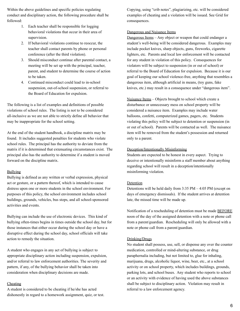Within the above guidelines and specific policies regulating conduct and disciplinary action, the following procedure shall be followed:

- 1. Each teacher shall be responsible for logging behavioral violations that occur in their area of supervision.
- 2. If behavioral violations continue to reoccur, the teacher shall contact parents by phone or personal conference (after the third violation).
- 3. Should misconduct continue after parental contact, a meeting will be set up with the principal, teacher, parent, and student to determine the course of action to be taken.
- 4. Continued misconduct could lead to in-school suspension, out-of-school suspension, or referral to the Board of Education for expulsion.

The following is a list of examples and definitions of possible violations of school rules. The listing is not to be considered all-inclusive as we are not able to strictly define all behavior that may be inappropriate for the school setting.

At the end of the student handbook, a discipline matrix may be found. It includes suggested penalties for students who violate school rules. The principal has the authority to deviate from the matrix if it is determined that extenuating circumstances exist. The principal also has the authority to determine if a student is moved forward on the discipline matrix.

#### Bullying

Bullying is defined as any written or verbal expression, physical act or gesture, or a pattern thereof, which is intended to cause distress upon one or more students in the school environment. For purposes of this policy, the school environment includes school buildings, grounds, vehicles, bus stops, and all school-sponsored activities and events.

Bullying can include the use of electronic devices. This kind of bullying often-times begins in times outside the school day, but for those instances that either occur during the school day or have a disruptive effect during the school day, school officials will take action to remedy the situation.

A student who engages in any act of bullying is subject to appropriate disciplinary action including suspension, expulsion, and/or referral to law enforcement authorities. The severity and pattern, if any, of the bullying behavior shall be taken into consideration when disciplinary decisions are made.

#### Cheating

A student is considered to be cheating if he/she has acted dishonestly in regard to a homework assignment, quiz, or test. Copying, using "crib notes", plagiarizing, etc. will be considered examples of cheating and a violation will be issued. See Grid for consequences.

## Dangerous and Nuisance Items

Dangerous Items – Any object or weapon that could endanger a student's well-being will be considered dangerous. Examples may include pocket knives, sharp objects, guns, fireworks, cigarette lighters, etc. Parents and local law enforcement will be contacted for any student in violation of this policy. Consequences for violators will be subject to suspension (in or out of school) or referral to the Board of Education for expulsion. Because it is our goal of keeping our school violence-free, anything that resembles a dangerous item, although artificial in means, (toy guns, fake knives, etc.) may result in a consequence under "dangerous item".

Nuisance Items – Objects brought to school which create a disturbance or unnecessary mess on school property will be considered a nuisance item. Examples may include water balloons, confetti, computerized games, pagers, etc. Students violating this policy will be subject to detention or suspension (in or out of school). Parents will be contacted as well. The nuisance item will be removed from the student's possession and returned only to a parent.

#### Deception/Intentionally Misinforming

Students are expected to be honest in every aspect. Trying to deceive or intentionally misinform a staff member about anything regarding school will result in a deception/intentionally misinforming violation.

#### Detention

Detentions will be held daily from 3:35 PM – 4:05 PM (except on days of emergency dismissals). If the student arrives at detention late, the missed time will be made up.

Notification of a rescheduling of detention must be made BEFORE noon of the day of the assigned detention with a note or phone call from a parent/guardian. Rescheduling will only be allowed with a note or phone call from a parent/guardian.

#### Drinking/Drugs

No student shall possess, use, sell, or dispense any over the counter medication, controlled or mind-altering substance, or drug paraphernalia including, but not limited to, glue for inhaling, marijuana, drugs, alcoholic liquor, wine, beer, etc., at a school activity or on school property, which includes buildings, grounds, parking lots, and school buses. Any student who reports to school or an activity with evidence of having used the above substances shall be subject to disciplinary action. Violation may result in referral to a law enforcement agency.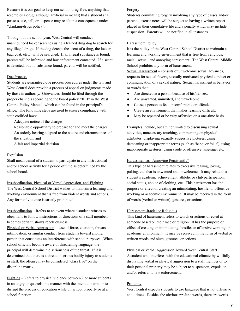Because it is our goal to keep our school drug-free, anything that resembles a drug (although artificial in means) that a student shall possess, use, sell, or dispense may result in a consequence under "drinking/drugs policy".

Throughout the school year, West Central will conduct unannounced locker searches using a trained drug dog to search for any illegal drugs. If the dog detects the scent of a drug, the locker, bag, coat, etc… will be searched. If an illegal substance is found, parents will be informed and law enforcement contacted. If a scent is detected, but no substance found, parents will be notified.

#### Due Process

Students are guaranteed due process procedures under the law and West Central does provide a process of appeal on judgments made by those in authority. Grievances should be filed through the proper channels according to the board policy "JFH" in the West Central Policy Manual, which can be found in the principal's office. The following steps are used to ensure compliance with state codified laws:

Adequate notice of the charges.

Reasonable opportunity to prepare for and meet the charges. An orderly hearing adapted to the nature and circumstances of the situation, and

A fair and impartial decision.

## Expulsion

Shall mean denial of a student to participate in any instructional and/or school activity for a period of time as determined by the school board.

#### Insubordination, Physical or Verbal Aggression, and Fighting

The West Central School District wishes to maintain a learning and working environment that is free from violent words and actions. Any form of violence is strictly prohibited.

Insubordination – Refers to an event where a student refuses to obey, fails to follow instructions or directions of a staff member, becomes defiant, shows rebelliousness.

Physical or Verbal Aggression – Use of force, coercion, threats, intimidation, or similar conduct from students toward another person that constitutes an interference with school purposes. When school officials become aware of threatening language, the principal will determine the seriousness of the threat. If it is determined that there is a threat of serious bodily injury to students or staff, the offense may be considered "class five" on the discipline matrix.

Fighting – Refers to physical violence between 2 or more students in an angry or quarrelsome manner with the intent to harm, or to disrupt the process of education while on school property or at a school function.

## **Forgery**

Students committing forgery involving any type of passes and/or parental excuse notes will be subject to having a written report placed in their cumulative file and a penalty which may include suspension. Parents will be notified in all instances.

#### **Harassment Policy**

It is the policy of the West Central School District to maintain a learning and working environment that is free from religious, racial, sexual, and annoying harassment. The West Central Middle School prohibits any form of harassment.

Sexual Harassment – consists of unwelcome sexual advances, requests for sexual favors, sexually motivated physical conduct or communication of a sexual nature. Sexual harassment is behavior or words that:

- Are directed at a person because of his/her sex.
- Are unwanted, uninvited, and unwelcome.
- Cause a person to feel uncomfortable or offended.
- Create an environment that makes learning difficult.
- May be repeated or be very offensive on a one-time basis.

Examples include, but are not limited to discussing sexual activities, unnecessary touching, commenting on physical attributes, displaying sexually suggestive pictures, using demeaning or inappropriate terms (such as 'babe' or 'slut'), using inappropriate gestures, using crude or offensive language, etc.

#### Harassment as "Annoying Persistently"

This type of harassment relates to excessive teasing, joking, poking, etc. that is unwanted and unwelcome. It may relate to a student's academic achievement, athletic or club participation, social status, choice of clothing, etc. This harassment has the purpose or effect of creating an intimidating, hostile, or offensive working or academic environment. It may be received in the form of words (verbal or written), gestures, or actions.

#### Harassment-Racial or Religious

This kind of harassment refers to words or actions directed at someone based on their race or religion. It has the purpose or effect of creating an intimidating, hostile, or offensive working or academic environment. It may be received in the form of verbal or written words and slurs, gestures, or actions.

#### Physical or Verbal Aggression Toward West Central Staff

A student who interferes with the educational climate by willfully displaying verbal or physical aggression to a staff member or to their personal property may be subject to suspension, expulsion, and/or referral to law enforcement.

## **Profanity**

West Central expects students to use language that is not offensive at all times. Besides the obvious profane words, there are words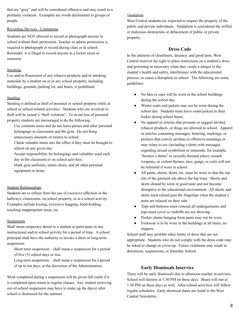that are "gray" and will be considered offensive and may result in a profanity violation. Examples are words detrimental to groups of people.

## Recording Devices - Limitations

Students are NOT allowed to record or photograph anyone in school without their permission. Teacher or admin permission is required to photograph or record during class or in school. Reminder: it is illegal to record anyone in a locker room or restroom.

## Smoking

Use and/or Possession of any tobacco products and/or smoking materials by a student on or in any school property, including buildings, grounds, parking lot, and buses, is prohibited.

## **Stealing**

Stealing is defined as theft of personal or school property while at school or school-related activities. Students who are involved in theft will be issued a "theft violation". To avoid loss of personal property students are encouraged to do the following:

- Use common sense and do not leave purses and other personal belongings in classrooms and the gym. Do not bring unnecessary amounts of money to school.
- Check valuable items into the office if they must be brought to school on any given day.
- Accept responsibility for belongings and valuables used each day in the classroom or on school activities.
- Mark gym uniforms, tennis shoes, and all other personal equipment or items.

## Student Relationships

Students are to refrain from the use of excessive affection in the hallways, classrooms, on school property, or at a school activity. Examples include kissing, excessive hugging, hand-holding, touching inappropriate areas, etc.

## Suspension

Shall mean temporary denial to a student to participate in any instructional and/or school activity for a period of time. A school principal shall have the authority to invoke a short or long-term suspension.

Short-term suspension – shall mean a suspension for a period of five (5) school days or less.

Long-term suspension – shall mean a suspension for a period of up to ten days, at the discretion of the Administration.

Work completed during a suspension will be given full credit if it is completed upon return to regular classes. Any student receiving out-of-school suspension may have to make up the day(s) after school is dismissed for the summer.

## Vandalism

West Central students are expected to respect the property of the public and private individuals. Vandalism is considered the willful or malicious destruction or defacement of public or private property.

# **Dress Code**

In the interests of cleanliness, decency, and good taste, West Central reserves the right to place restrictions on a student's dress and grooming as necessary when they create a danger to the student's health and safety, interference with the educational process, or cause a disruption in school. The following are some guidelines:

- No hats or caps will be worn in the school buildings during the school day.
- Winter coats and jackets may not be worn during the school day. Students must leave coats/jackets in their locker during school hours.
- No apparel or articles that promote or suggest alcohol, tobacco products, or drugs are allowed in school. Apparel or articles containing messages, lettering, markings, or pictures that convey profane or offensive meanings or may relate to sex (including t-shirts with messages regarding sexual symbolism or innuendo, for example, "hooters t-shirts" or sexually themed jokes), assault weapons, or violent themes, race, gangs, or cults will not be tolerated if worn in school.
- All pants, shorts, skirts, etc. must be worn so that the top rim of the garment sits above the hip bone. Shorts and skirts should be worn in good taste and not become disruptive to the educational environment. All shorts and skirts must extend past the fingertips when the student's arms are relaxed on their side.
- Tops and bottoms must conceal all undergarments and tops must cover so midriffs are not showing.
- Pocket chains hanging from pants may not be worn.
- Footwear is to be worn in the buildings at all times, no slippers.

School staff may prohibit other forms of dress that are not appropriate. Students who do not comply with the dress code may be asked to change or cover-up. Future violations may result in detentions, suspensions, or Saturday School.

# **Early Dismissals Inservice**

There will be early dismissals due to afternoon teacher in-services. School will dismiss at 1:30 PM on these days. Buses will run at 1:30 PM on these days as well. After-school activities will follow regular schedules. Early dismissal dates are listed in the West Central Newsletter.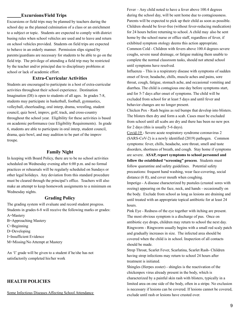## **Excursions/Field Trips**

Excursions or field trips may be planned by teachers during the school day as the planned culmination of a class or an enrichment to a subject or topic. Students are expected to comply with district busing rules when school vehicles are used and to leave and return on school vehicles provided. Students on field trips are expected to behave in an orderly manner. Permission slips signed by parents/guardians are necessary for students to be able to go on the field trip. The privilege of attending a field trip may be restricted by the teacher and/or principal due to disciplinary problems at school or lack of academic effort.

## **Extra-Curricular Activities**

Students are encouraged to participate in a host of extra-curricular activities throughout their school experience. Destination Imagination (DI) is open to students of all ages. In grades 7-8, students may participate in basketball, football, gymnastics, volleyball, cheerleading, oral interp, drama, wrestling, student council, quiz bowl, improv, golf, track, and cross-country throughout the school year. Eligibility for these activities is based on academic performance (see Eligibility Requirements). In grade 6, students are able to participate in oral interp, student council, drama, quiz bowl, and may audition to be part of the improv troupe.

## **Family Night**

In keeping with Board Policy, there are to be no school activities scheduled on Wednesday evening after 6:00 p.m. and no formal practices or rehearsals will be regularly scheduled on Sundays or other legal holidays. Any deviation from this standard procedure must be cleared through the principal's office. Teachers will also make an attempt to keep homework assignments to a minimum on Wednesday nights.

#### **Grading Policy**

The grading system will evaluate and record student progress. Students in grades 6-8 will receive the following marks or grades: A=Mastery

B=Approaching Mastery C=Beginning D=Developing I=Insufficient Evidence M=Missing/No Attempt at Mastery

An 'I' grade will be given to a student if he/she has not satisfactorily completed his/her work

## **HEALTH POLICIES**

Some Infectious Diseases Affecting School Attendance

Fever – Any child noted to have a fever above 100.4 degrees during the school day, will be sent home due to contagiousness. Parents will be expected to pick up their child as soon as possible. Children should be fever-free (without fever-reducing medication) for 24 hours before returning to school. A child may also be sent home by the school nurse or office staff, regardless of fever, if exhibited symptom otology deems this action appropriate. Common Cold - Children with fevers above 100.4 degrees severe coughs, severe nasal drainage, or fatigue making them unable to complete the normal classroom tasks, should not attend school until symptoms have resolved*.*

Influenza – This is a respiratory disease with symptoms of sudden onset of fever, headache, chills, muscle aches and pains, sore throat, cough, fatigue, stomach ache, and occasional vomiting and diarrhea. The child is contagious one day before symptoms start, and for 5-7 days after onset of symptoms. The child will be excluded from school for at least 5 days and until fever and behavior changes are no longer present.

Chicken Pox - Rash begins as red bumps that develop into blisters. The blisters then dry and form a scab. Cases must be excluded from school until all scabs are dry and there has been no new pox for 2 days (this is usually 5-6 days).

Covid-19 - Severe acute respiratory syndrome coronavirus 2 (SARS-CoV-2) is a newly identified (2019) pathogen. Common symptoms: fever, chills, headache, sore throat, smell and taste disorders, shortness of breath, and cough. Stay home if symptoms are severe. **ASAP, report symptoms to school personnel and follow the established "screening" process**. Students must follow quarantine and safety guidelines. Potential safety precautions: frequent hand washing, wear face-covering, social distance (6 ft), and cover mouth when coughing.

Impetigo - A disease characterized by pustules (crusted sores with oozing) appearing on the face, neck, and hands - occasionally on the body. Exclude from school as long as lesions are draining and until treated with an appropriate topical antibiotic for at least 24 hours.

Pink Eye - Redness of the eye together with itching are present. The most obvious symptom is a discharge of pus. Once on antibiotic eye drops, children may return to school the next day. Ringworm - Ringworm usually begins with a small red scaly patch and gradually increases in size. The infected area should be covered when the child is in school. Inspection of all contacts should be made.

Strep Throat, Scarlet Fever, Scarlatina, Scarlet Rash- Children having strep infections may return to school 24 hours after treatment is initiated.

Shingles (Herpes zoster) - shingles is the reactivation of the chickenpox virus already present in the body, which is characterized by a painful skin rash with blisters, typically in a limited area on one side of the body, often in a stripe. No exclusion is necessary if lesions can be covered. If lesions cannot be covered, exclude until rash or lesions have crusted over.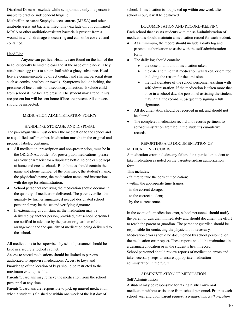Diarrheal Disease - exclude while symptomatic only if a person is unable to practice independent hygiene.

Methicillin-resistant Staphylococcus aureus (MRSA) and other antibiotic-resistant bacteria infections - exclude only if confirmed MRSA or other antibiotic-resistant bacteria is present from a wound in which drainage is occurring and cannot be covered and contained.

## Head Lice

Anyone can get lice. Head lice are found on the hair of the head, especially behind the ears and at the nape of the neck. They attach each egg (nit) to a hair shaft with a gluey substance. Head lice are communicable by direct contact and sharing personal items such as combs, brushes, or towels. Symptoms include itching, the presence of lice or nits, or a secondary infection. Exclude child from school if live lice are present. The student may attend if nits are present but will be sent home if lice are present. All contacts should be inspected.

## MEDICATION ADMINISTRATION POLICY

## HANDLING, STORAGE, AND DISPOSAL

The parent/guardian must deliver the medication to the school and to a qualified staff member. Medication must be in the original and properly labeled container.

- All medication; prescription and non-prescription, must be in the ORIGINAL bottle. For prescription medications, please ask your pharmacist for a duplicate bottle, so one can be kept at home and one at school. Both bottles should contain the name and phone number of the pharmacy, the student's name, the physician's name, the medication name, and instructions with dosage for administration.
- School personnel receiving the medication should document the quantity of medication delivered. The parent verifies the quantity by his/her signature, if needed designated school personnel may be the second verifying signature.
- In extenuating circumstances, the medication may be delivered by another person; provided, that school personnel are notified in advance by the parent or guardian of the arrangement and the quantity of medication being delivered to the school.

All medications to be supervised by school personnel should be kept in a securely locked cabinet.

Access to stored medications should be limited to persons authorized to supervise medications. Access to keys and knowledge of the location of keys should be restricted to the maximum extent possible.

Parents/Guardians may retrieve the medication from the school personnel at any time.

Parents/Guardians are responsible to pick up unused medication when a student is finished or within one week of the last day of

school. If medication is not picked up within one week after school is out, it will be destroyed.

## DOCUMENTATION AND RECORD-KEEPING

Each school that assists students with the self-administration of medications should maintain a medication record for each student.

- At a minimum, the record should include a daily log and parental authorization to assist with the self-administration form.
- The daily log should contain:
	- the dose or amount of medication taken.
	- the date and time that medication was taken, or omitted, including the reason for the omission.
	- the full signature of the school personnel assisting with self-administration. If the medication is taken more than once in a school day, the personnel assisting the student may initial the record, subsequent to signing a full signature.
- All documentation should be recorded in ink and should not be altered.
- The completed medication record and records pertinent to self-administration are filed in the student's cumulative records.

## REPORTING AND DOCUMENTATION OF

## MEDICATION RECORDS

A medication error includes any failure for a particular student to take medication as noted on the parent/guardian authorization form.

This includes:

- failure to take the correct medication;
- within the appropriate time frames;
- in the correct dosage;
- to the correct student;
- by the correct route.

In the event of a medication error, school personnel should notify the parent or guardian immediately and should document the effort to reach the parent or guardian. The parent or guardian should be responsible for contacting the physician, if necessary.

Medication errors should be documented by school personnel on the medication error report. These reports should be maintained in a designated location or in the student's health record.

School personnel should review reports of medication errors and take necessary steps to ensure appropriate medication administration in the future.

## ADMINISTRATION OF MEDICATION

#### Self Administration

A student may be responsible for taking his/her own oral medication without assistance from school personnel. Prior to each school year and upon parent request, a *Request and Authorization*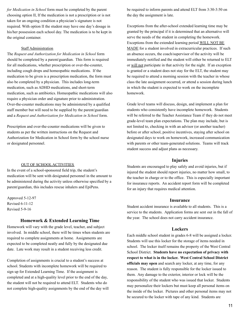*for Medication in School* form must be completed by the parent choosing option II, If the medication is not a prescription or is not taken for an ongoing condition a physician's signature is not required. With option II the student may have one day's dosage in his/her possession each school day. The medication is to be kept in the original container.

#### Staff Administration

The *Request and Authorization for Medication in School* form should be completed by a parent/guardian. This form is required for all medications, whether prescription or over-the-counter, including cough drops and homeopathic medications. If the medication to be given is a prescription medication, the form must also be completed by a physician. This includes long-term medication, such as ADHD medications, and short-term medication, such as antibiotics. Homeopathic medications will also require a physician order and signature prior to administration. Over-the-counter medications may be administered by a qualified staff member but will need to be supplied by the parent/guardian and a *Request and Authorization for Medication in School* form.

Prescription and over-the-counter medications will be given to students as per the written instructions on the Request and Authorization for Medication in School form by the school nurse or designated personnel.

#### OUT OF SCHOOL ACTIVITIES

In the event of a school-sponsored field trip, the student's medication will be sent with designated personnel in the amount to be administered during the activity unless otherwise specified by a parent/guardian, this includes rescue inhalers and EpiPens.

Approved 5-12-97 Revised 6-11-12 Revised 5-9-16

#### **Homework & Extended Learning Time**

Homework will vary with the grade level, teacher, and subject involved. In middle school, there will be times when students are required to complete assignments at home. Assignments are expected to be completed neatly and fully by the designated due date. Late work may result in a student receiving less credit.

Completion of assignments is crucial to a student's success at school. Students with incomplete homework will be required to sign up for Extended Learning Time. If the assignment is completed and at a high-quality level prior to the end of the day, the student will not be required to attend ELT. Students who do not complete high-quality assignments by the end of the day will be required to inform parents and attend ELT from 3:30-3:50 on the day the assignment is late.

Exceptions from the after-school extended learning time may be granted by the principal if it is determined that an alternative will serve the needs of the student in completing the homework. Exceptions from the extended learning period WILL NOT BE MADE for a student involved in extracurricular practices. If such an absence occurs, the coach/supervisor of the activity will be immediately notified and the student will either be returned to ELT or will not participate in that activity for the night. If an exception is granted or a student does not stay for the ELT, the student may be required to attend a morning session with the teacher in whose class the late assignment occurred, or attend a session during lunch in which the student is expected to work on the incomplete homework.

Grade level teams will discuss, design, and implement a plan for students who consistently have incomplete homework. Students will be referred to the Teacher Assistance Team if they do not meet grade-level team plan expectations. The plan may include, but is not limited to, checking in with an advisor (or another teacher) before or after school, positive incentives, staying after school on designated days to work on homework, increased communication with parents or other team-generated solutions. Teams will track student success and adjust plans as necessary.

## **Injuries**

Students are encouraged to play safely and avoid injuries, but if injured the student should report injuries, no matter how small, to the teacher in charge or to the office. This is especially important for insurance reports. An accident report form will be completed for an injury that requires medical attention.

#### **Insurance**

Student accident insurance is available to all students. This is a service to the students. Application forms are sent out in the fall of the year. The school does not carry accident insurance.

## **Lockers**

Each middle school student in grades 6-8 will be assigned a locker. Students will use this locker for the storage of items needed in school. The locker itself remains the property of the West Central School District. **Students have no expectation of privacy with respect to what is in the locker. West Central School District officials may open** and search any locker, at any time, for any reason. The student is fully responsible for the locker issued to them. Any damage to the exterior, interior or lock will be the responsibility of the student who was issued that locker. Students may personalize their lockers but must keep all personal items on the inside of the locker. Pictures and other personal items may not be secured to the locker with tape of any kind. Students are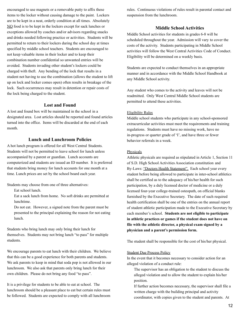encouraged to use magnets or a removable putty to affix these items to the locker without causing damage to the paint. Lockers are to be kept in a neat, orderly condition at all times. Absolutely NO food is to be kept in the lockers except for sack lunches or exceptions allowed by coaches and/or advisors regarding snacks and drinks needed following practice or activities. Students will be permitted to return to their lockers during the school day at times specified by middle school teachers. Students are encouraged to not keep valuable items in their locker and to keep their combination number confidential so unwanted entries will be avoided. Students invading other student's lockers could be charged with theft. Any bending of the lock that results in a student not having to use the combination (allows the student to lift up on lock and locker comes open) often results in breakage of the lock. Such occurrences may result in detention or repair costs of the lock being charged to the student.

## **Lost and Found**

A lost and found box will be maintained in the school in a designated area. Lost articles should be reported and found articles turned into the office. Items will be discarded at the end of each month.

## **Lunch and Lunchroom Policies**

A hot lunch program is offered for all West Central Students. Students will not be permitted to leave school for lunch unless accompanied by a parent or guardian. Lunch accounts are computerized and students are issued an ID number. It is preferred that students bring money for lunch accounts for one month at a time. Lunch prices are set by the school board each year.

Students may choose from one of three alternatives:

Eat school lunch.

Eat a sack lunch from home. No soft drinks are permitted at lunchtime.

Do not eat. However, a signed note from the parent must be presented to the principal explaining the reason for not eating lunch.

Students who bring lunch may only bring their lunch for themselves. Students may not bring lunch "to pass" for multiple students.

We encourage parents to eat lunch with their children. We believe that this can be a good experience for both parents and students. We ask parents to keep in mind that soda pop is not allowed in our lunchroom. We also ask that parents only bring lunch for their own children. Please do not bring any food "to pass".

It is a privilege for students to be able to eat at school. The lunchroom should be a pleasant place to eat but certain rules must be followed. Students are expected to comply with all lunchroom

rules. Continuous violations of rules result in parental contact and suspension from the lunchroom.

## **Middle School Activities**

Middle School activities for students in grades 6-8 will be scheduled throughout the year. Admission will vary to cover the costs of the activity. Students participating in Middle School activities will follow the West Central Activities Code of Conduct. Eligibility will be determined on a weekly basis.

Students are expected to conduct themselves in an appropriate manner and in accordance with the Middle School Handbook at any Middle School activity.

Any student who comes to the activity and leaves will not be readmitted. Only West Central Middle School students are permitted to attend these activities.

#### Eligibility Rules

Middle school students who participate in any school-sponsored extracurricular activities must meet the requirements and training regulations. Students must have no missing work, have no in-progress or quarter grade of 'I', and have three or fewer behavior referrals in a week.

#### **Physicals**

Athletic physicals are required as stipulated in Article 1, Section 11 of S.D. High School Activities Association constitution and By-Laws: "Doctors Health Statement". Each school year every student before being allowed to participate in inter-school athletics shall be certified as to the adequacy of his/her health for such participation, by a duly licensed doctor of medicine or a duly licensed four-year college-trained osteopath, on official blanks furnished by the Executive Secretary. The date of such required health certification shall be one of the entries on the annual report of student athletic participation made to the Executive Secretary by each member's school. **Students are not eligible to participate in athletic practices or games if the student does not have on file with the athletic director, a physical exam signed by a physician and a parent's permission form.**

The student shall be responsible for the cost of his/her physical.

#### Student Due Process Policy

In the event that it becomes necessary to consider action for an alleged violation of a conduct rule:

The supervisor has an obligation to the student to discuss the alleged violation and to allow the student to explain his/her position.

If further action becomes necessary, the supervisor shall file a written charge with the building principal and activity coordinator, with copies given to the student and parents. At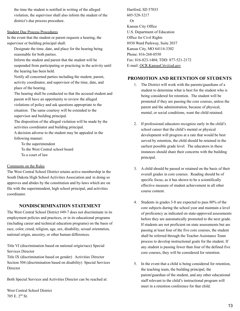the time the student is notified in writing of the alleged violation, the supervisor shall also inform the student of the district's due process procedure.

## Student Due Process Procedures

In the event that the student or parent requests a hearing, the supervisor or building principal shall:

- Designate the time, date, and place for the hearing being reasonable for both parties.
- Inform the student and parent that the student will be suspended from participating or practicing in the activity until the hearing has been held.
- Notify all concerned parties including the student, parent, activity coordinator, and supervisor of the time, date, and place of the hearing.
- The hearing shall be conducted so that the accused student and parent will have an opportunity to review the alleged violations of policy and ask questions appropriate to the situation. The same courtesy will be extended to the supervisor and building principal.
- The disposition of the alleged violation will be made by the activities coordinator and building principal.

A decision adverse to the student may be appealed in the following manner:

To the superintendent To the West Central school board To a court of law

## Comments on the Rules

The West Central School District retains active membership in the South Dakota High School Activities Association and in doing so approves and abides by the constitution and by-laws which are on file with the superintendent, high school principal, and activities coordinator.

# **NONDISCRIMINATION STATEMENT**

The West Central School District #49-7 does not discriminate in its employment policies and practices, or in its educational programs (including career and technical education programs) on the basis of race, color, creed, religion, age, sex, disability, sexual orientation, national origin, ancestry, or other human differences.

Title VI (discrimination based on national origin/race) Special Services Director

Title IX (discrimination based on gender) Activities Director Section 504 (discrimination based on disability) Special Services **Director** 

Both Special Services and Activities Director can be reached at:

West Central School District 705 E. 2 nd St.

Hartford, SD 57033 605-528-3217 Or Kansas City Office U.S. Department of Education Office for Civil Rights 8930 Ward Parkway, Suite 2037 Kansas City, MO 64114-3302 Phone: 816-268-0550 Fax: 816-823-1404; TDD: 877-521-2172 E-mail: OCR.KansasCity@ed.gov

# **PROMOTION AND RETENTION OF STUDENTS**

- 1. The District will work with the parents/guardians of a student to determine what is best for the student who is being considered for retention. The student will be promoted if they are passing the core courses, unless the parent and the administration, because of physical, mental, or social conditions, want the child retained.
- 2. If professional educators recognize early in the child's school career that the child's mental or physical development will progress at a rate that would be best served by retention, the child should be retained in the earliest possible grade level. The educators in these instances should share their concerns with the building principal.
- 3. A child should be passed or retained on the basis of their overall grades in core courses. Reading should be of specific focus, as it has shown to be a scientifically effective measure of student achievement in all other course content.
- 4. Students in grades 3-8 are expected to pass 80% of the core subjects during the school year and maintain a level of proficiency as indicated on state-approved assessments before they are automatically promoted to the next grade. If students are not proficient on state assessments but are passing at least four of the five core courses, the student shall be referred through the Teacher Assistance Team process to develop instructional goals for the student. If any student is passing fewer than four of the defined five core courses, they will be considered for retention.
- 5. In the event that a child is being considered for retention, the teaching team, the building principal, the parent/guardian of the student, and any other educational staff relevant to the child's instructional program will meet in a retention conference for that child.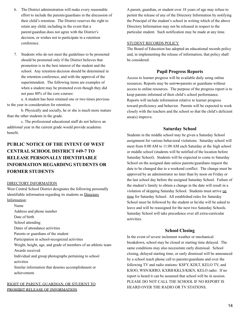- 6. The District administration will make every reasonable effort to include the parents/guardians in the discussion of their child's retention. The District reserves the right to retain any child, including in the event that a parent/guardian does not agree with the District's decision, or wishes not to participate in a retention conference.
- 7. Students who do not meet the guidelines to be promoted should be promoted only if the District believes that promotion is in the best interest of the student and the school. Any retention decision should be determined in the retention conference, and with the approval of the superintendent. The following items are examples of when a student may be promoted even though they did not pass 80% of the core courses:

a. A student has been retained one or two times previous to the year in consideration for retention.

b. Physically and socially, he or she is much more mature than the other students in the grade.

c. The professional educational staff do not believe an additional year in the current grade would provide academic benefit.

# **PUBLIC NOTICE OF THE INTENT OF WEST CENTRAL SCHOOL DISTRICT #49-7 TO RELEASE PERSONALLY IDENTIFIABLE INFORMATION REGARDING STUDENTS OR FORMER STUDENTS**

#### DIRECTORY INFORMATION

West Central School District designates the following personally identifiable information regarding its students as Directory Information:

# Name

Address and phone number

- Date of birth
- School attending

Dates of attendance activities

Parents or guardians of the student

Participation in school-recognized activities

Weight, height, age, and grade of members of an athletic team Awards received

Individual and group photographs pertaining to school activities

Similar information that denotes accomplishment or achievement.

## RIGHT OF PARENT, GUARDIAN, OR STUDENT TO PROHIBIT RELEASE OF INFORMATION

A parent, guardian, or student over 18 years of age may refuse to permit the release of any of the Directory Information by notifying the Principal of the student's school in writing which of the above Directory Information may not be released in respect to the particular student. Such notification may be made at any time.

#### STUDENT RECORDS POLICY

The Board of Education has adopted an educational records policy and, in implementing the release of information, that policy shall be considered.

## **Pupil Progress Reports**

Access to learner progress will be available daily using online resources. Reports may be sent to parents or guardians without access to online resources. The purpose of the progress report is to keep parents informed of their child's school performance. Reports will include information relative to learner progress toward proficiency and behavior. Parents will be expected to work closely with the teachers and the school so that the child's deficient area(s) improve.

## **Saturday School**

Students in the middle school may be given a Saturday School assignment for various behavioral violations. Saturday school will meet from 8:00 AM to 11:00 AM each Saturday at the high school or middle school (students will be notified of the location before Saturday School). Students will be expected to come to Saturday School on the assigned date unless parents/guardians request the date to be changed due to a weekend conflict. The change must be approved by an administrator no later than by noon on Friday or the last school day before the assigned Saturday School. Failure of the student's family to obtain a change in the date will result in a violation of skipping Saturday School. Students must arrive on time for Saturday School. All established rules for Saturday School must be followed by the student or he/she will be asked to leave and will be reassigned for the next two Saturday Schools. Saturday School will take precedence over all extra-curricular activities.

## **School Closing**

In the event of severe inclement weather or mechanical breakdown, school may be closed or starting time delayed. The same conditions may also necessitate early dismissal. School closing, delayed starting time, or early dismissal will be announced by a school reach phone call to parents/guardians and over the following TV and radio stations: KSFY, KDLT, KELO TV, and KSOO, WSN/KRRO, KXRB/KKLS/KIKN, KELO radio. If no report is heard it can be assumed that school will be in session. PLEASE DO NOT CALL THE SCHOOL IF NO REPORT IS HEARD OVER THE RADIO OR TV STATIONS.